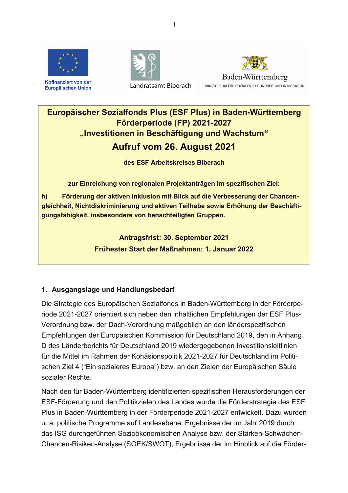

Kofinanziert von der Europäischen Union





# Europäischer Sozialfonds Plus (ESF Plus) in Baden-Württemberg Förderperiode (FP) 2021-2027 "Investitionen in Beschäftigung und Wachstum" Aufruf vom 26. August 2021

des ESF Arbeitskreises Biberach

zur Einreichung von regionalen Projektanträgen im spezifischen Ziel:

Förderung der aktiven Inklusion mit Blick auf die Verbesserung der Chancen $h)$ gleichheit, Nichtdiskriminierung und aktiven Teilhabe sowie Erhöhung der Beschäftigungsfähigkeit, insbesondere von benachteiligten Gruppen.

> **Antragsfrist: 30. September 2021** Frühester Start der Maßnahmen: 1. Januar 2022

# 1. Ausgangslage und Handlungsbedarf

Die Strategie des Europäischen Sozialfonds in Baden-Württemberg in der Förderperiode 2021-2027 orientiert sich neben den inhaltlichen Empfehlungen der ESF Plus-Verordnung bzw. der Dach-Verordnung maßgeblich an den länderspezifischen Empfehlungen der Europäischen Kommission für Deutschland 2019, den in Anhang D des Länderberichts für Deutschland 2019 wiedergegebenen Investitionsleitlinien für die Mittel im Rahmen der Kohäsionspolitik 2021-2027 für Deutschland im Politischen Ziel 4 ("Ein sozialeres Europa") bzw. an den Zielen der Europäischen Säule sozialer Rechte

Nach den für Baden-Württemberg identifizierten spezifischen Herausforderungen der ESF-Förderung und den Politikzielen des Landes wurde die Förderstrategie des ESF Plus in Baden-Württemberg in der Förderperiode 2021-2027 entwickelt. Dazu wurden u. a. politische Programme auf Landesebene, Ergebnisse der im Jahr 2019 durch das ISG durchgeführten Sozioökonomischen Analyse bzw. der Stärken-Schwächen-Chancen-Risiken-Analyse (SOEK/SWOT), Ergebnisse der im Hinblick auf die Förder-

 $\overline{1}$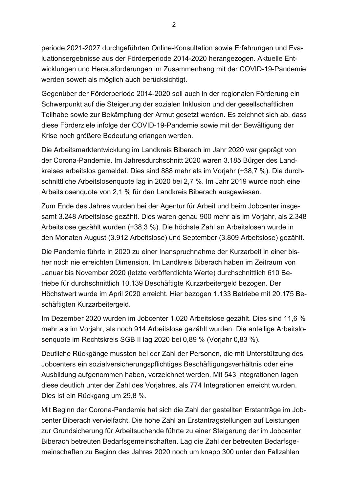periode 2021-2027 durchgeführten Online-Konsultation sowie Erfahrungen und Evaluationsergebnisse aus der Förderperiode 2014-2020 herangezogen. Aktuelle Entwicklungen und Herausforderungen im Zusammenhang mit der COVID-19-Pandemie werden soweit als möglich auch berücksichtigt.

Gegenüber der Förderperiode 2014-2020 soll auch in der regionalen Förderung ein Schwerpunkt auf die Steigerung der sozialen Inklusion und der gesellschaftlichen Teilhabe sowie zur Bekämpfung der Armut gesetzt werden. Es zeichnet sich ab, dass diese Förderziele infolge der COVID-19-Pandemie sowie mit der Bewältigung der Krise noch größere Bedeutung erlangen werden.

Die Arbeitsmarktentwicklung im Landkreis Biberach im Jahr 2020 war geprägt von der Corona-Pandemie. Im Jahresdurchschnitt 2020 waren 3.185 Bürger des Landkreises arbeitslos gemeldet. Dies sind 888 mehr als im Vorjahr (+38,7 %). Die durchschnittliche Arbeitslosenquote lag in 2020 bei 2,7 %. Im Jahr 2019 wurde noch eine Arbeitslosenquote von 2,1 % für den Landkreis Biberach ausgewiesen.

Zum Ende des Jahres wurden bei der Agentur für Arbeit und beim Jobcenter insgesamt 3.248 Arbeitslose gezählt. Dies waren genau 900 mehr als im Vorjahr, als 2.348 Arbeitslose gezählt wurden (+38,3 %). Die höchste Zahl an Arbeitslosen wurde in den Monaten August (3.912 Arbeitslose) und September (3.809 Arbeitslose) gezählt.

Die Pandemie führte in 2020 zu einer Inanspruchnahme der Kurzarbeit in einer bisher noch nie erreichten Dimension. Im Landkreis Biberach haben im Zeitraum von Januar bis November 2020 (letzte veröffentlichte Werte) durchschnittlich 610 Betriebe für durchschnittlich 10.139 Beschäftigte Kurzarbeitergeld bezogen. Der Höchstwert wurde im April 2020 erreicht. Hier bezogen 1.133 Betriebe mit 20.175 Beschäftigten Kurzarbeitergeld.

Im Dezember 2020 wurden im Jobcenter 1.020 Arbeitslose gezählt. Dies sind 11.6 % mehr als im Vorjahr, als noch 914 Arbeitslose gezählt wurden. Die anteilige Arbeitslosenquote im Rechtskreis SGB II lag 2020 bei 0,89 % (Vorjahr 0,83 %).

Deutliche Rückgänge mussten bei der Zahl der Personen, die mit Unterstützung des Jobcenters ein sozialversicherungspflichtiges Beschäftigungsverhältnis oder eine Ausbildung aufgenommen haben, verzeichnet werden. Mit 543 Integrationen lagen diese deutlich unter der Zahl des Vorjahres, als 774 Integrationen erreicht wurden. Dies ist ein Rückgang um 29,8 %.

Mit Beginn der Corona-Pandemie hat sich die Zahl der gestellten Erstanträge im Jobcenter Biberach vervielfacht. Die hohe Zahl an Erstantragstellungen auf Leistungen zur Grundsicherung für Arbeitsuchende führte zu einer Steigerung der im Jobcenter Biberach betreuten Bedarfsgemeinschaften. Lag die Zahl der betreuten Bedarfsgemeinschaften zu Beginn des Jahres 2020 noch um knapp 300 unter den Fallzahlen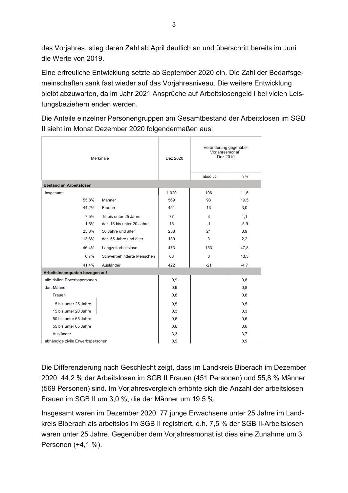des Vorjahres, stieg deren Zahl ab April deutlich an und überschritt bereits im Juni die Werte von 2019.

Eine erfreuliche Entwicklung setzte ab September 2020 ein. Die Zahl der Bedarfsgemeinschaften sank fast wieder auf das Vorjahresniveau. Die weitere Entwicklung bleibt abzuwarten, da im Jahr 2021 Ansprüche auf Arbeitslosengeld I bei vielen Leistungsbeziehern enden werden.

Die Anteile einzelner Personengruppen am Gesamtbestand der Arbeitslosen im SGB Il sieht im Monat Dezember 2020 folgendermaßen aus:

| Merkmale                         |                            | Dez 2020 | Veränderung gegenüber<br>Vorjahresmonat <sup>1)</sup><br>Dez 2019 |        |
|----------------------------------|----------------------------|----------|-------------------------------------------------------------------|--------|
|                                  |                            |          | absolut                                                           | in $%$ |
| <b>Bestand an Arbeitslosen</b>   |                            |          |                                                                   |        |
| Insgesamt                        |                            | 1.020    | 106                                                               | 11,6   |
| 55,8%                            | Männer                     | 569      | 93                                                                | 19,5   |
| 44,2%                            | Frauen                     | 451      | 13                                                                | 3,0    |
| 7,5%                             | 15 bis unter 25 Jahre      | 77       | 3                                                                 | 4,1    |
| 1,6%                             | dar. 15 bis unter 20 Jahre | 16       | $-1$                                                              | $-5,9$ |
| 25,3%                            | 50 Jahre und älter         | 258      | 21                                                                | 8,9    |
| 13,6%                            | dar. 55 Jahre und älter    | 139      | 3                                                                 | 2,2    |
| 46,4%                            | Langzeitarbeitslose        | 473      | 153                                                               | 47,8   |
| 6,7%                             | Schwerbehinderte Menschen  | 68       | 8                                                                 | 13,3   |
| 41,4%                            | Ausländer                  | 422      | $-21$                                                             | $-4,7$ |
| Arbeitslosenquoten bezogen auf   |                            |          |                                                                   |        |
| alle zivilen Erwerbspersonen     |                            | 0,9      |                                                                   | 0,8    |
| dar. Männer                      |                            | 0,9      |                                                                   | 0,8    |
| Frauen                           |                            | 0,8      |                                                                   | 0,8    |
| 15 bis unter 25 Jahre            |                            | 0,5      |                                                                   | 0,5    |
| 15 bis unter 20 Jahre            |                            | 0,3      |                                                                   | 0,3    |
| 50 bis unter 65 Jahre            |                            | 0,6      |                                                                   | 0,6    |
| 55 bis unter 65 Jahre            |                            | 0,6      |                                                                   | 0,6    |
| Ausländer                        |                            | 3,3      |                                                                   | 3,7    |
| abhängige zivile Erwerbspersonen |                            | 0,9      |                                                                   | 0,9    |

Die Differenzierung nach Geschlecht zeigt, dass im Landkreis Biberach im Dezember 2020 44,2 % der Arbeitslosen im SGB II Frauen (451 Personen) und 55,8 % Männer (569 Personen) sind. Im Vorjahresvergleich erhöhte sich die Anzahl der arbeitslosen Frauen im SGB II um 3,0 %, die der Männer um 19,5 %.

Insgesamt waren im Dezember 2020 77 junge Erwachsene unter 25 Jahre im Landkreis Biberach als arbeitslos im SGB II registriert, d.h. 7,5 % der SGB II-Arbeitslosen waren unter 25 Jahre. Gegenüber dem Vorjahresmonat ist dies eine Zunahme um 3 Personen (+4,1 %).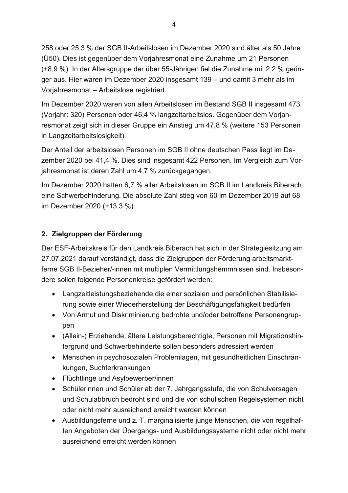258 oder 25.3 % der SGB II-Arbeitslosen im Dezember 2020 sind älter als 50 Jahre (Ü50). Dies ist gegenüber dem Vorjahresmonat eine Zunahme um 21 Personen (+8.9 %). In der Altersgruppe der über 55-Jährigen fiel die Zunahme mit 2.2 % geringer aus. Hier waren im Dezember 2020 insgesamt 139 – und damit 3 mehr als im Vorjahresmonat - Arbeitslose registriert.

Im Dezember 2020 waren von allen Arbeitslosen im Bestand SGB II insgesamt 473 (Vorjahr: 320) Personen oder 46,4 % langzeitarbeitslos. Gegenüber dem Vorjahresmonat zeigt sich in dieser Gruppe ein Anstieg um 47,8 % (weitere 153 Personen in Langzeitarbeitslosigkeit).

Der Anteil der arbeitslosen Personen im SGB II ohne deutschen Pass liegt im Dezember 2020 bei 41,4 %. Dies sind insgesamt 422 Personen. Im Vergleich zum Vorjahresmonat ist deren Zahl um 4,7 % zurückgegangen.

Im Dezember 2020 hatten 6.7 % aller Arbeitslosen im SGB II im Landkreis Biberach eine Schwerbehinderung. Die absolute Zahl stieg von 60 im Dezember 2019 auf 68 im Dezember 2020 (+13,3 %).

### 2. Zielgruppen der Förderung

Der ESF-Arbeitskreis für den Landkreis Biberach hat sich in der Strategiesitzung am 27.07.2021 darauf verständigt, dass die Zielgruppen der Förderung arbeitsmarktferne SGB II-Bezieher/-innen mit multiplen Vermittlungshemmnissen sind. Insbesondere sollen folgende Personenkreise gefördert werden:

- Langzeitleistungsbeziehende die einer sozialen und persönlichen Stabilisierung sowie einer Wiederherstellung der Beschäftigungsfähigkeit bedürfen
- Von Armut und Diskriminierung bedrohte und/oder betroffene Personengruppen
- (Allein-) Erziehende, ältere Leistungsberechtigte, Personen mit Migrationshintergrund und Schwerbehinderte sollen besonders adressiert werden
- Menschen in psychosozialen Problemlagen, mit gesundheitlichen Einschränkungen, Suchterkrankungen
- Flüchtlinge und Asylbewerber/innen
- Schülerinnen und Schüler ab der 7. Jahrgangsstufe, die von Schulversagen und Schulabbruch bedroht sind und die von schulischen Regelsystemen nicht oder nicht mehr ausreichend erreicht werden können
- Ausbildungsferne und z. T. marginalisierte junge Menschen, die von regelhaften Angeboten der Übergangs- und Ausbildungssysteme nicht oder nicht mehr ausreichend erreicht werden können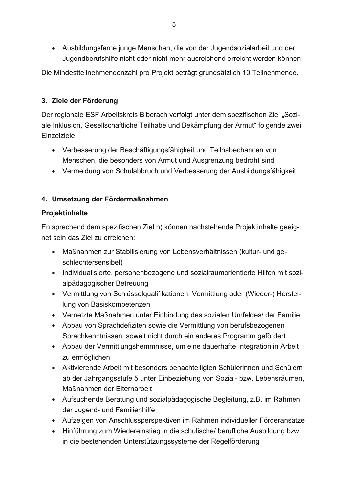• Ausbildungsferne junge Menschen, die von der Jugendsozialarbeit und der Jugendberufshilfe nicht oder nicht mehr ausreichend erreicht werden können

Die Mindestteilnehmendenzahl pro Projekt beträgt grundsätzlich 10 Teilnehmende.

### 3. Ziele der Förderung

Der regionale ESF Arbeitskreis Biberach verfolgt unter dem spezifischen Ziel "Soziale Inklusion, Gesellschaftliche Teilhabe und Bekämpfung der Armut" folgende zwei Einzelziele:

- Verbesserung der Beschäftigungsfähigkeit und Teilhabechancen von Menschen, die besonders von Armut und Ausgrenzung bedroht sind
- Vermeidung von Schulabbruch und Verbesserung der Ausbildungsfähigkeit

### 4. Umsetzung der Fördermaßnahmen

### Projektinhalte

Entsprechend dem spezifischen Ziel h) können nachstehende Projektinhalte geeignet sein das Ziel zu erreichen:

- Maßnahmen zur Stabilisierung von Lebensverhältnissen (kultur- und geschlechtersensibel)
- Individualisierte, personenbezogene und sozialraumorientierte Hilfen mit sozialpädagogischer Betreuung
- Vermittlung von Schlüsselqualifikationen, Vermittlung oder (Wieder-) Herstellung von Basiskompetenzen
- Vernetzte Maßnahmen unter Einbindung des sozialen Umfeldes/ der Familie
- Abbau von Sprachdefiziten sowie die Vermittlung von berufsbezogenen Sprachkenntnissen, soweit nicht durch ein anderes Programm gefördert
- Abbau der Vermittlungshemmnisse, um eine dauerhafte Integration in Arbeit zu ermöglichen
- Aktivierende Arbeit mit besonders benachteiligten Schülerinnen und Schülern ab der Jahrgangsstufe 5 unter Einbeziehung von Sozial- bzw. Lebensräumen, Maßnahmen der Elternarbeit
- Aufsuchende Beratung und sozialpädagogische Begleitung, z.B. im Rahmen der Jugend- und Familienhilfe
- Aufzeigen von Anschlussperspektiven im Rahmen individueller Förderansätze
- Hinführung zum Wiedereinstieg in die schulische/berufliche Ausbildung bzw. in die bestehenden Unterstützungssysteme der Regelförderung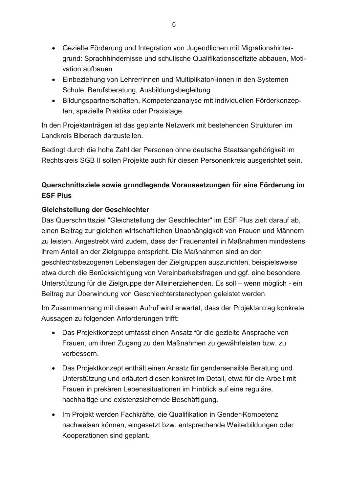- Gezielte Förderung und Integration von Jugendlichen mit Migrationshintergrund: Sprachhindernisse und schulische Qualifikationsdefizite abbauen, Motivation aufbauen
- Einbeziehung von Lehrer/innen und Multiplikator/-innen in den Systemen Schule, Berufsberatung, Ausbildungsbegleitung
- Bildungspartnerschaften, Kompetenzanalyse mit individuellen Förderkonzepten, spezielle Praktika oder Praxistage

In den Projektanträgen ist das geplante Netzwerk mit bestehenden Strukturen im Landkreis Biberach darzustellen.

Bedingt durch die hohe Zahl der Personen ohne deutsche Staatsangehörigkeit im Rechtskreis SGB II sollen Projekte auch für diesen Personenkreis ausgerichtet sein.

# Querschnittsziele sowie grundlegende Voraussetzungen für eine Förderung im **ESF Plus**

# Gleichstellung der Geschlechter

Das Querschnittsziel "Gleichstellung der Geschlechter" im ESF Plus zielt darauf ab, einen Beitrag zur gleichen wirtschaftlichen Unabhängigkeit von Frauen und Männern zu leisten. Angestrebt wird zudem, dass der Frauenanteil in Maßnahmen mindestens ihrem Anteil an der Zielgruppe entspricht. Die Maßnahmen sind an den geschlechtsbezogenen Lebenslagen der Zielgruppen auszurichten, beispielsweise etwa durch die Berücksichtigung von Vereinbarkeitsfragen und ggf. eine besondere Unterstützung für die Zielgruppe der Alleinerziehenden. Es soll - wenn möglich - ein Beitrag zur Überwindung von Geschlechterstereotypen geleistet werden.

Im Zusammenhang mit diesem Aufruf wird erwartet, dass der Projektantrag konkrete Aussagen zu folgenden Anforderungen trifft:

- Das Projektkonzept umfasst einen Ansatz für die gezielte Ansprache von Frauen, um ihren Zugang zu den Maßnahmen zu gewährleisten bzw. zu verbessern
- Das Proiektkonzept enthält einen Ansatz für gendersensible Beratung und Unterstützung und erläutert diesen konkret im Detail, etwa für die Arbeit mit Frauen in prekären Lebenssituationen im Hinblick auf eine reguläre. nachhaltige und existenzsichernde Beschäftigung.
- Im Proiekt werden Fachkräfte, die Qualifikation in Gender-Kompetenz nachweisen können, eingesetzt bzw. entsprechende Weiterbildungen oder Kooperationen sind geplant.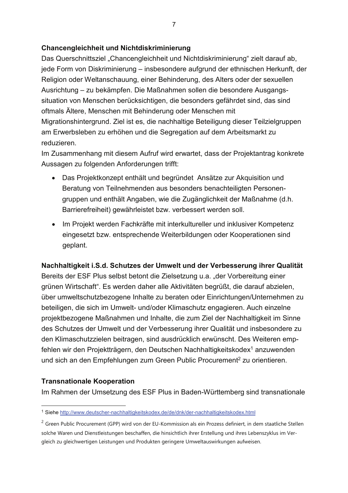### Chancengleichheit und Nichtdiskriminierung

Das Querschnittsziel "Chancengleichheit und Nichtdiskriminierung" zielt darauf ab, jede Form von Diskriminierung – insbesondere aufgrund der ethnischen Herkunft, der Religion oder Weltanschauung, einer Behinderung, des Alters oder der sexuellen Ausrichtung – zu bekämpfen. Die Maßnahmen sollen die besondere Ausgangssituation von Menschen berücksichtigen, die besonders gefährdet sind, das sind oftmals Ältere, Menschen mit Behinderung oder Menschen mit Migrationshintergrund. Ziel ist es, die nachhaltige Beteiligung dieser Teilzielgruppen am Erwerbsleben zu erhöhen und die Segregation auf dem Arbeitsmarkt zu reduzieren.

Im Zusammenhang mit diesem Aufruf wird erwartet, dass der Projektantrag konkrete Aussagen zu folgenden Anforderungen trifft:

- Das Projektkonzept enthält und begründet Ansätze zur Akguisition und Beratung von Teilnehmenden aus besonders benachteiligten Personengruppen und enthält Angaben, wie die Zugänglichkeit der Maßnahme (d.h. Barrierefreiheit) gewährleistet bzw. verbessert werden soll.
- Im Projekt werden Fachkräfte mit interkultureller und inklusiver Kompetenz eingesetzt bzw. entsprechende Weiterbildungen oder Kooperationen sind geplant.

### Nachhaltigkeit i.S.d. Schutzes der Umwelt und der Verbesserung ihrer Qualität

Bereits der ESF Plus selbst betont die Zielsetzung u.a. "der Vorbereitung einer grünen Wirtschaft". Es werden daher alle Aktivitäten begrüßt, die darauf abzielen. über umweltschutzbezogene Inhalte zu beraten oder Einrichtungen/Unternehmen zu beteiligen, die sich im Umwelt- und/oder Klimaschutz engagieren. Auch einzelne projektbezogene Maßnahmen und Inhalte, die zum Ziel der Nachhaltigkeit im Sinne des Schutzes der Umwelt und der Verbesserung ihrer Qualität und insbesondere zu den Klimaschutzzielen beitragen, sind ausdrücklich erwünscht. Des Weiteren empfehlen wir den Projektträgern, den Deutschen Nachhaltigkeitskodex<sup>1</sup> anzuwenden und sich an den Empfehlungen zum Green Public Procurement<sup>2</sup> zu orientieren.

### **Transnationale Kooperation**

Im Rahmen der Umsetzung des ESF Plus in Baden-Württemberg sind transnationale

<sup>1</sup> Siehe http://www.deutscher-nachhaltigkeitskodex.de/de/dnk/der-nachhaltigkeitskodex.html

<sup>&</sup>lt;sup>2</sup> Green Public Procurement (GPP) wird von der EU-Kommission als ein Prozess definiert, in dem staatliche Stellen solche Waren und Dienstleistungen beschaffen, die hinsichtlich ihrer Erstellung und ihres Lebenszyklus im Vergleich zu gleichwertigen Leistungen und Produkten geringere Umweltauswirkungen aufweisen.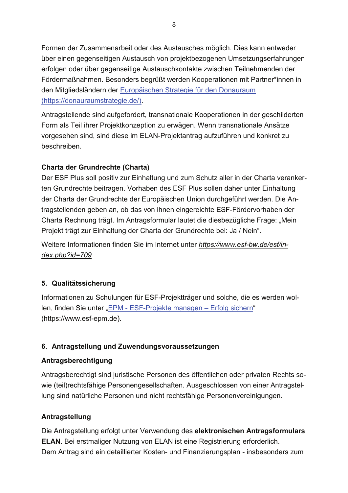Formen der Zusammenarbeit oder des Austausches möglich. Dies kann entweder über einen gegenseitigen Austausch von projektbezogenen Umsetzungserfahrungen erfolgen oder über gegenseitige Austauschkontakte zwischen Teilnehmenden der Fördermaßnahmen. Besonders begrüßt werden Kooperationen mit Partner\*innen in den Mitgliedsländern der Europäischen Strategie für den Donauraum (https://donauraumstrategie.de/).

Antragstellende sind aufgefordert, transnationale Kooperationen in der geschilderten Form als Teil ihrer Projektkonzeption zu erwägen. Wenn transnationale Ansätze vorgesehen sind, sind diese im ELAN-Projektantrag aufzuführen und konkret zu beschreiben

### **Charta der Grundrechte (Charta)**

Der ESF Plus soll positiv zur Einhaltung und zum Schutz aller in der Charta verankerten Grundrechte beitragen. Vorhaben des ESF Plus sollen daher unter Einhaltung der Charta der Grundrechte der Europäischen Union durchgeführt werden. Die Antragstellenden geben an, ob das von ihnen eingereichte ESF-Fördervorhaben der Charta Rechnung trägt. Im Antragsformular lautet die diesbezügliche Frage: "Mein Projekt trägt zur Einhaltung der Charta der Grundrechte bei: Ja / Nein".

Weitere Informationen finden Sie im Internet unter https://www.esf-bw.de/esf/in $dex.php?id=709$ 

# 5. Qualitätssicherung

Informationen zu Schulungen für ESF-Projektträger und solche, die es werden wollen, finden Sie unter "EPM - ESF-Projekte managen - Erfolg sichern" (https://www.esf-epm.de).

# 6. Antragstellung und Zuwendungsvoraussetzungen

### Antragsberechtigung

Antragsberechtigt sind juristische Personen des öffentlichen oder privaten Rechts sowie (teil)rechtsfähige Personengesellschaften. Ausgeschlossen von einer Antragstellung sind natürliche Personen und nicht rechtsfähige Personenvereinigungen.

# Antragstellung

Die Antragstellung erfolgt unter Verwendung des elektronischen Antragsformulars **ELAN.** Bei erstmaliger Nutzung von ELAN ist eine Registrierung erforderlich. Dem Antrag sind ein detaillierter Kosten- und Finanzierungsplan - insbesonders zum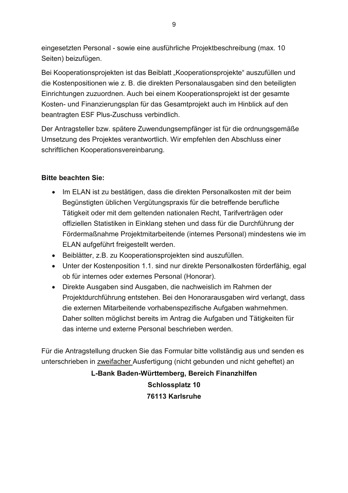eingesetzten Personal - sowie eine ausführliche Projektbeschreibung (max. 10 Seiten) beizufügen.

Bei Kooperationsprojekten ist das Beiblatt "Kooperationsprojekte" auszufüllen und die Kostenpositionen wie z. B. die direkten Personalausgaben sind den beteiligten Einrichtungen zuzuordnen. Auch bei einem Kooperationsprojekt ist der gesamte Kosten- und Finanzierungsplan für das Gesamtprojekt auch im Hinblick auf den beantragten ESF Plus-Zuschuss verbindlich.

Der Antragsteller bzw. spätere Zuwendungsempfänger ist für die ordnungsgemäße Umsetzung des Projektes verantwortlich. Wir empfehlen den Abschluss einer schriftlichen Kooperationsvereinbarung.

### **Bitte beachten Sie:**

- Im ELAN ist zu bestätigen, dass die direkten Personalkosten mit der beim Begünstigten üblichen Vergütungspraxis für die betreffende berufliche Tätigkeit oder mit dem geltenden nationalen Recht, Tarifverträgen oder offiziellen Statistiken in Einklang stehen und dass für die Durchführung der Fördermaßnahme Projektmitarbeitende (internes Personal) mindestens wie im ELAN aufgeführt freigestellt werden.
- Beiblätter, z.B. zu Kooperationsprojekten sind auszufüllen.
- Unter der Kostenposition 1.1. sind nur direkte Personalkosten förderfähig, egal ob für internes oder externes Personal (Honorar).
- Direkte Ausgaben sind Ausgaben, die nachweislich im Rahmen der Projektdurchführung entstehen. Bei den Honorarausgaben wird verlangt, dass die externen Mitarbeitende vorhabenspezifische Aufgaben wahrnehmen. Daher sollten möglichst bereits im Antrag die Aufgaben und Tätigkeiten für das interne und externe Personal beschrieben werden

Für die Antragstellung drucken Sie das Formular bitte vollständig aus und senden es unterschrieben in zweifacher Ausfertigung (nicht gebunden und nicht geheftet) an

> L-Bank Baden-Württemberg, Bereich Finanzhilfen **Schlossplatz 10** 76113 Karlsruhe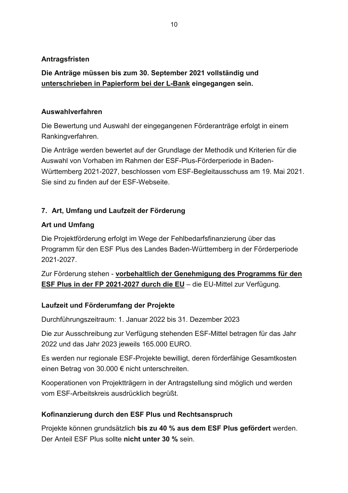### Antragsfristen

# Die Anträge müssen bis zum 30. September 2021 vollständig und unterschrieben in Papierform bei der L-Bank eingegangen sein.

### Auswahlverfahren

Die Bewertung und Auswahl der eingegangenen Förderanträge erfolgt in einem Rankingverfahren.

Die Anträge werden bewertet auf der Grundlage der Methodik und Kriterien für die Auswahl von Vorhaben im Rahmen der ESF-Plus-Förderperiode in Baden-Württemberg 2021-2027, beschlossen vom ESF-Begleitausschuss am 19. Mai 2021. Sie sind zu finden auf der FSF-Webseite

# 7. Art, Umfang und Laufzeit der Förderung

# **Art und Umfang**

Die Projektförderung erfolgt im Wege der Fehlbedarfsfinanzierung über das Programm für den ESF Plus des Landes Baden-Württemberg in der Förderperiode 2021-2027.

Zur Förderung stehen - vorbehaltlich der Genehmigung des Programms für den ESF Plus in der FP 2021-2027 durch die EU - die EU-Mittel zur Verfügung.

# Laufzeit und Förderumfang der Projekte

Durchführungszeitraum: 1. Januar 2022 bis 31. Dezember 2023

Die zur Ausschreibung zur Verfügung stehenden ESF-Mittel betragen für das Jahr 2022 und das Jahr 2023 jeweils 165.000 EURO.

Es werden nur regionale ESF-Projekte bewilligt, deren förderfähige Gesamtkosten einen Betrag von 30.000 € nicht unterschreiten.

Kooperationen von Projektträgern in der Antragstellung sind möglich und werden vom ESF-Arbeitskreis ausdrücklich begrüßt.

# Kofinanzierung durch den ESF Plus und Rechtsanspruch

Projekte können grundsätzlich bis zu 40 % aus dem ESF Plus gefördert werden. Der Anteil ESF Plus sollte nicht unter 30 % sein.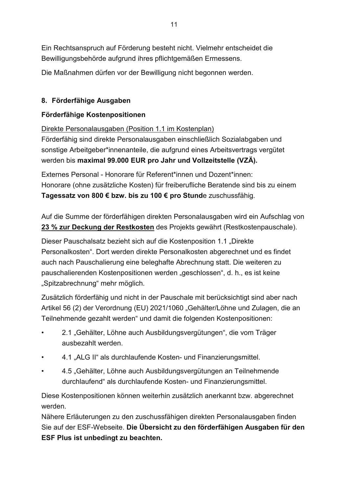Ein Rechtsanspruch auf Förderung besteht nicht. Vielmehr entscheidet die Bewilligungsbehörde aufgrund ihres pflichtgemäßen Ermessens.

Die Maßnahmen dürfen vor der Bewilligung nicht begonnen werden.

# 8. Förderfähige Ausgaben

# Förderfähige Kostenpositionen

Direkte Personalausgaben (Position 1.1 im Kostenplan)

Förderfähig sind direkte Personalausgaben einschließlich Sozialabgaben und sonstige Arbeitgeber\*innenanteile, die aufgrund eines Arbeitsvertrags vergütet werden bis maximal 99.000 EUR pro Jahr und Vollzeitstelle (VZÄ).

Externes Personal - Honorare für Referent\*innen und Dozent\*innen Honorare (ohne zusätzliche Kosten) für freiberufliche Beratende sind bis zu einem Tagessatz von 800 € bzw. bis zu 100 € pro Stunde zuschussfähig.

Auf die Summe der förderfähigen direkten Personalausgaben wird ein Aufschlag von 23 % zur Deckung der Restkosten des Projekts gewährt (Restkostenpauschale).

Dieser Pauschalsatz bezieht sich auf die Kostenposition 1.1 "Direkte Personalkosten". Dort werden direkte Personalkosten abgerechnet und es findet auch nach Pauschalierung eine beleghafte Abrechnung statt. Die weiteren zu pauschalierenden Kostenpositionen werden "geschlossen", d. h., es ist keine "Spitzabrechnung" mehr möglich.

Zusätzlich förderfähig und nicht in der Pauschale mit berücksichtigt sind aber nach Artikel 56 (2) der Verordnung (EU) 2021/1060 "Gehälter/Löhne und Zulagen, die an Teilnehmende gezahlt werden" und damit die folgenden Kostenpositionen:

- 2.1 "Gehälter, Löhne auch Ausbildungsvergütungen", die vom Träger ausbezahlt werden.
- 4.1 "ALG II" als durchlaufende Kosten- und Finanzierungsmittel.
- 4.5 "Gehälter, Löhne auch Ausbildungsvergütungen an Teilnehmende durchlaufend" als durchlaufende Kosten- und Finanzierungsmittel.

Diese Kostenpositionen können weiterhin zusätzlich anerkannt bzw. abgerechnet werden.

Nähere Erläuterungen zu den zuschussfähigen direkten Personalausgaben finden Sie auf der ESF-Webseite. Die Übersicht zu den förderfähigen Ausgaben für den ESF Plus ist unbedingt zu beachten.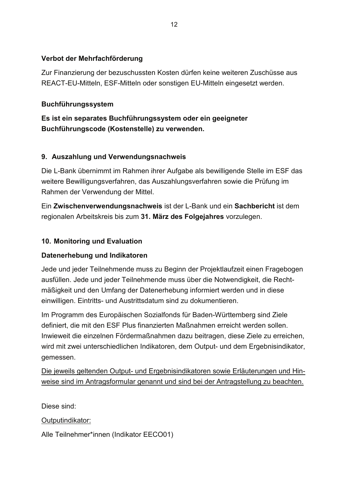### Verbot der Mehrfachförderung

Zur Finanzierung der bezuschussten Kosten dürfen keine weiteren Zuschüsse aus REACT-EU-Mitteln, ESF-Mitteln oder sonstigen EU-Mitteln eingesetzt werden.

### **Buchführungssystem**

Es ist ein separates Buchführungssystem oder ein geeigneter Buchführungscode (Kostenstelle) zu verwenden.

### 9. Auszahlung und Verwendungsnachweis

Die L-Bank übernimmt im Rahmen ihrer Aufgabe als bewilligende Stelle im ESF das weitere Bewilligungsverfahren, das Auszahlungsverfahren sowie die Prüfung im Rahmen der Verwendung der Mittel.

Ein Zwischenverwendungsnachweis ist der L-Bank und ein Sachbericht ist dem regionalen Arbeitskreis bis zum 31. März des Folgejahres vorzulegen.

# 10. Monitoring und Evaluation

# Datenerhebung und Indikatoren

Jede und jeder Teilnehmende muss zu Beginn der Projektlaufzeit einen Fragebogen ausfüllen. Jede und jeder Teilnehmende muss über die Notwendigkeit, die Rechtmäßigkeit und den Umfang der Datenerhebung informiert werden und in diese einwilligen. Eintritts- und Austrittsdatum sind zu dokumentieren.

Im Programm des Europäischen Sozialfonds für Baden-Württemberg sind Ziele definiert, die mit den ESF Plus finanzierten Maßnahmen erreicht werden sollen. Inwieweit die einzelnen Fördermaßnahmen dazu beitragen, diese Ziele zu erreichen, wird mit zwei unterschiedlichen Indikatoren, dem Output- und dem Ergebnisindikator, gemessen.

Die jeweils geltenden Output- und Ergebnisindikatoren sowie Erläuterungen und Hinweise sind im Antragsformular genannt und sind bei der Antragstellung zu beachten.

Diese sind:

Outputindikator:

Alle Teilnehmer\*innen (Indikator EECO01)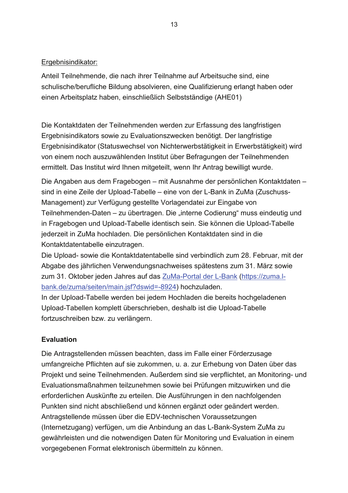#### Ergebnisindikator:

Anteil Teilnehmende, die nach ihrer Teilnahme auf Arbeitsuche sind, eine schulische/berufliche Bildung absolvieren, eine Qualifizierung erlangt haben oder einen Arbeitsplatz haben, einschließlich Selbstständige (AHE01)

Die Kontaktdaten der Teilnehmenden werden zur Erfassung des langfristigen Ergebnisindikators sowie zu Evaluationszwecken benötigt. Der langfristige Ergebnisindikator (Statuswechsel von Nichterwerbstätigkeit in Erwerbstätigkeit) wird von einem noch auszuwählenden Institut über Befragungen der Teilnehmenden ermittelt. Das Institut wird Ihnen mitgeteilt, wenn Ihr Antrag bewilligt wurde.

Die Angaben aus dem Fragebogen – mit Ausnahme der persönlichen Kontaktdaten – sind in eine Zeile der Upload-Tabelle - eine von der L-Bank in ZuMa (Zuschuss-Management) zur Verfügung gestellte Vorlagendatei zur Eingabe von Teilnehmenden-Daten – zu übertragen. Die "interne Codierung" muss eindeutig und in Fragebogen und Upload-Tabelle identisch sein. Sie können die Upload-Tabelle jederzeit in ZuMa hochladen. Die persönlichen Kontaktdaten sind in die Kontaktdatentabelle einzutragen.

Die Upload- sowie die Kontaktdatentabelle sind verbindlich zum 28. Februar, mit der Abgabe des jährlichen Verwendungsnachweises spätestens zum 31. März sowie zum 31. Oktober jeden Jahres auf das ZuMa-Portal der L-Bank (https://zuma.lbank.de/zuma/seiten/main.jsf?dswid=-8924) hochzuladen.

In der Upload-Tabelle werden bei jedem Hochladen die bereits hochgeladenen Upload-Tabellen komplett überschrieben, deshalb ist die Upload-Tabelle fortzuschreiben bzw. zu verlängern.

# **Evaluation**

Die Antragstellenden müssen beachten, dass im Falle einer Förderzusage umfangreiche Pflichten auf sie zukommen, u. a. zur Erhebung von Daten über das Projekt und seine Teilnehmenden. Außerdem sind sie verpflichtet, an Monitoring- und Evaluationsmaßnahmen teilzunehmen sowie bei Prüfungen mitzuwirken und die erforderlichen Auskünfte zu erteilen. Die Ausführungen in den nachfolgenden Punkten sind nicht abschließend und können ergänzt oder geändert werden. Antragstellende müssen über die EDV-technischen Voraussetzungen (Internetzugang) verfügen, um die Anbindung an das L-Bank-System ZuMa zu gewährleisten und die notwendigen Daten für Monitoring und Evaluation in einem vorgegebenen Format elektronisch übermitteln zu können.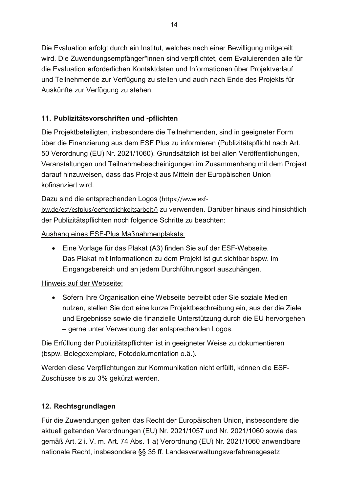Die Evaluation erfolgt durch ein Institut, welches nach einer Bewilligung mitgeteilt wird. Die Zuwendungsempfänger\*innen sind verpflichtet, dem Evaluierenden alle für die Evaluation erforderlichen Kontaktdaten und Informationen über Projektverlauf und Teilnehmende zur Verfügung zu stellen und auch nach Ende des Projekts für Auskünfte zur Verfügung zu stehen.

# 11. Publizitätsvorschriften und -pflichten

Die Projektbeteiligten, insbesondere die Teilnehmenden, sind in geeigneter Form über die Finanzierung aus dem ESF Plus zu informieren (Publizitätspflicht nach Art. 50 Verordnung (EU) Nr. 2021/1060). Grundsätzlich ist bei allen Veröffentlichungen, Veranstaltungen und Teilnahmebescheinigungen im Zusammenhang mit dem Projekt darauf hinzuweisen, dass das Projekt aus Mitteln der Europäischen Union kofinanziert wird

Dazu sind die entsprechenden Logos (https://www.esfbw.de/esf/esfplus/oeffentlichkeitsarbeit/) zu verwenden. Darüber hinaus sind hinsichtlich der Publizitätspflichten noch folgende Schritte zu beachten:

Aushang eines ESF-Plus Maßnahmenplakats:

• Eine Vorlage für das Plakat (A3) finden Sie auf der ESF-Webseite. Das Plakat mit Informationen zu dem Projekt ist gut sichtbar bspw. im Eingangsbereich und an jedem Durchführungsort auszuhängen.

# Hinweis auf der Webseite:

• Sofern Ihre Organisation eine Webseite betreibt oder Sie soziale Medien nutzen, stellen Sie dort eine kurze Projektbeschreibung ein, aus der die Ziele und Ergebnisse sowie die finanzielle Unterstützung durch die EU hervorgehen - gerne unter Verwendung der entsprechenden Logos.

Die Erfüllung der Publizitätspflichten ist in geeigneter Weise zu dokumentieren (bspw. Belegexemplare, Fotodokumentation o.ä.).

Werden diese Verpflichtungen zur Kommunikation nicht erfüllt, können die ESF-Zuschüsse bis zu 3% gekürzt werden.

# 12. Rechtsgrundlagen

Für die Zuwendungen gelten das Recht der Europäischen Union, insbesondere die aktuell geltenden Verordnungen (EU) Nr. 2021/1057 und Nr. 2021/1060 sowie das gemäß Art. 2 i. V. m. Art. 74 Abs. 1 a) Verordnung (EU) Nr. 2021/1060 anwendbare nationale Recht, insbesondere §§ 35 ff. Landesverwaltungsverfahrensgesetz